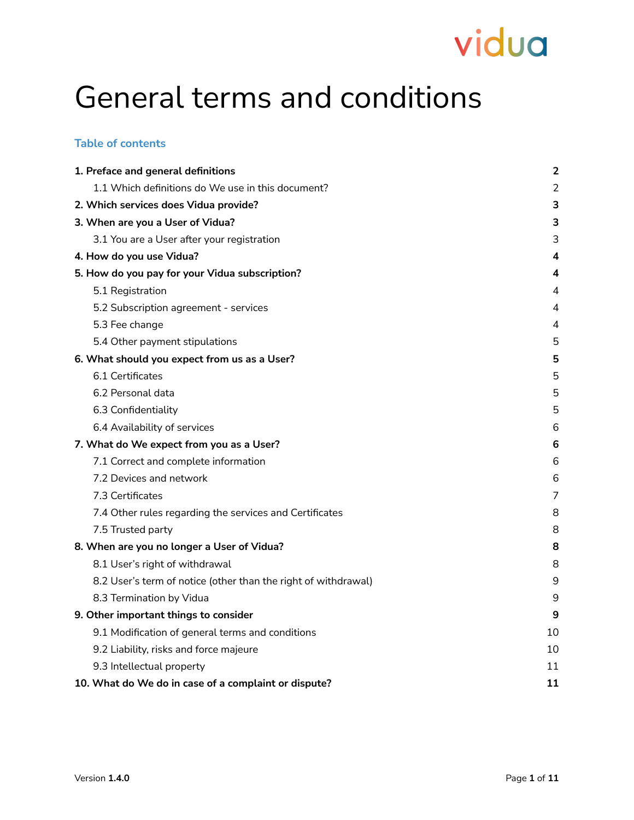## General terms and conditions

### **Table of contents**

| 1. Preface and general definitions                             | $\overline{2}$ |
|----------------------------------------------------------------|----------------|
| 1.1 Which definitions do We use in this document?              | $\overline{2}$ |
| 2. Which services does Vidua provide?                          | 3              |
| 3. When are you a User of Vidua?                               | 3              |
| 3.1 You are a User after your registration                     | 3              |
| 4. How do you use Vidua?                                       | 4              |
| 5. How do you pay for your Vidua subscription?                 | 4              |
| 5.1 Registration                                               | 4              |
| 5.2 Subscription agreement - services                          | 4              |
| 5.3 Fee change                                                 | 4              |
| 5.4 Other payment stipulations                                 | 5              |
| 6. What should you expect from us as a User?                   | 5              |
| 6.1 Certificates                                               | 5              |
| 6.2 Personal data                                              | 5              |
| 6.3 Confidentiality                                            | 5              |
| 6.4 Availability of services                                   | 6              |
| 7. What do We expect from you as a User?                       | $\bf 6$        |
| 7.1 Correct and complete information                           | 6              |
| 7.2 Devices and network                                        | 6              |
| 7.3 Certificates                                               | 7              |
| 7.4 Other rules regarding the services and Certificates        | 8              |
| 7.5 Trusted party                                              | 8              |
| 8. When are you no longer a User of Vidua?                     | 8              |
| 8.1 User's right of withdrawal                                 | 8              |
| 8.2 User's term of notice (other than the right of withdrawal) | 9              |
| 8.3 Termination by Vidua                                       | 9              |
| 9. Other important things to consider                          | 9              |
| 9.1 Modification of general terms and conditions               | 10             |
| 9.2 Liability, risks and force majeure                         | 10             |
| 9.3 Intellectual property                                      | 11             |
| 10. What do We do in case of a complaint or dispute?           | 11             |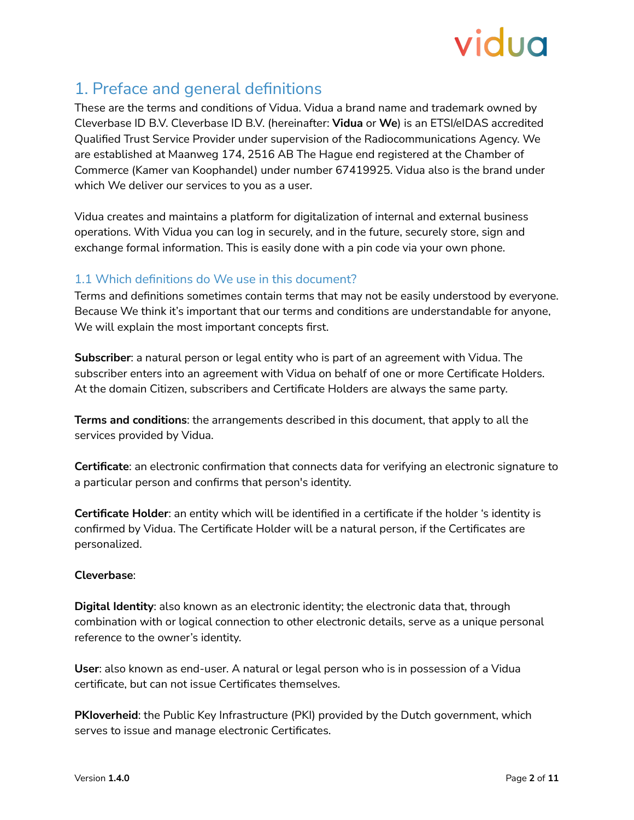

## <span id="page-1-0"></span>1. Preface and general definitions

These are the terms and conditions of Vidua. Vidua a brand name and trademark owned by Cleverbase ID B.V. Cleverbase ID B.V. (hereinafter: **Vidua** or **We**) is an ETSI/eIDAS accredited Qualified Trust Service Provider under supervision of the Radiocommunications Agency. We are established at Maanweg 174, 2516 AB The Hague end registered at the Chamber of Commerce (Kamer van Koophandel) under number 67419925. Vidua also is the brand under which We deliver our services to you as a user.

Vidua creates and maintains a platform for digitalization of internal and external business operations. With Vidua you can log in securely, and in the future, securely store, sign and exchange formal information. This is easily done with a pin code via your own phone.

## <span id="page-1-1"></span>1.1 Which definitions do We use in this document?

Terms and definitions sometimes contain terms that may not be easily understood by everyone. Because We think it's important that our terms and conditions are understandable for anyone, We will explain the most important concepts first.

**Subscriber**: a natural person or legal entity who is part of an agreement with Vidua. The subscriber enters into an agreement with Vidua on behalf of one or more Certificate Holders. At the domain Citizen, subscribers and Certificate Holders are always the same party.

**Terms and conditions**: the arrangements described in this document, that apply to all the services provided by Vidua.

**Certificate**: an electronic confirmation that connects data for verifying an electronic signature to a particular person and confirms that person's identity.

**Certificate Holder**: an entity which will be identified in a certificate if the holder 's identity is confirmed by Vidua. The Certificate Holder will be a natural person, if the Certificates are personalized.

#### **Cleverbase**:

**Digital Identity**: also known as an electronic identity; the electronic data that, through combination with or logical connection to other electronic details, serve as a unique personal reference to the owner's identity.

**User**: also known as end-user. A natural or legal person who is in possession of a Vidua certificate, but can not issue Certificates themselves.

**PKIoverheid**: the Public Key Infrastructure (PKI) provided by the Dutch government, which serves to issue and manage electronic Certificates.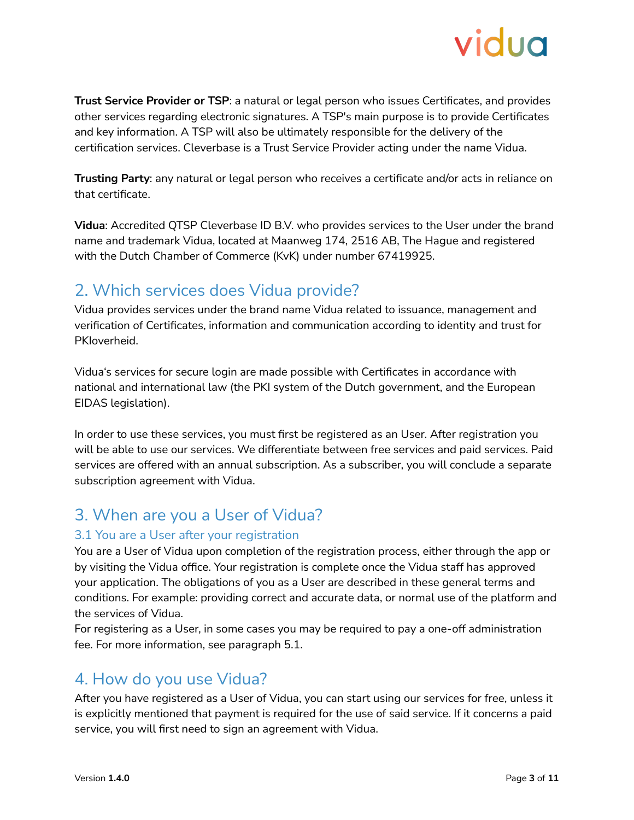

**Trust Service Provider or TSP**: a natural or legal person who issues Certificates, and provides other services regarding electronic signatures. A TSP's main purpose is to provide Certificates and key information. A TSP will also be ultimately responsible for the delivery of the certification services. Cleverbase is a Trust Service Provider acting under the name Vidua.

**Trusting Party**: any natural or legal person who receives a certificate and/or acts in reliance on that certificate.

**Vidua**: Accredited QTSP Cleverbase ID B.V. who provides services to the User under the brand name and trademark Vidua, located at Maanweg 174, 2516 AB, The Hague and registered with the Dutch Chamber of Commerce (KvK) under number 67419925.

## <span id="page-2-0"></span>2. Which services does Vidua provide?

Vidua provides services under the brand name Vidua related to issuance, management and verification of Certificates, information and communication according to identity and trust for PKIoverheid.

Vidua's services for secure login are made possible with Certificates in accordance with national and international law (the PKI system of the Dutch government, and the European EIDAS legislation).

In order to use these services, you must first be registered as an User. After registration you will be able to use our services. We differentiate between free services and paid services. Paid services are offered with an annual subscription. As a subscriber, you will conclude a separate subscription agreement with Vidua.

## <span id="page-2-1"></span>3. When are you a User of Vidua?

#### <span id="page-2-2"></span>3.1 You are a User after your registration

You are a User of Vidua upon completion of the registration process, either through the app or by visiting the Vidua office. Your registration is complete once the Vidua staff has approved your application. The obligations of you as a User are described in these general terms and conditions. For example: providing correct and accurate data, or normal use of the platform and the services of Vidua.

For registering as a User, in some cases you may be required to pay a one-off administration fee. For more information, see paragraph 5.1.

## <span id="page-2-3"></span>4. How do you use Vidua?

After you have registered as a User of Vidua, you can start using our services for free, unless it is explicitly mentioned that payment is required for the use of said service. If it concerns a paid service, you will first need to sign an agreement with Vidua.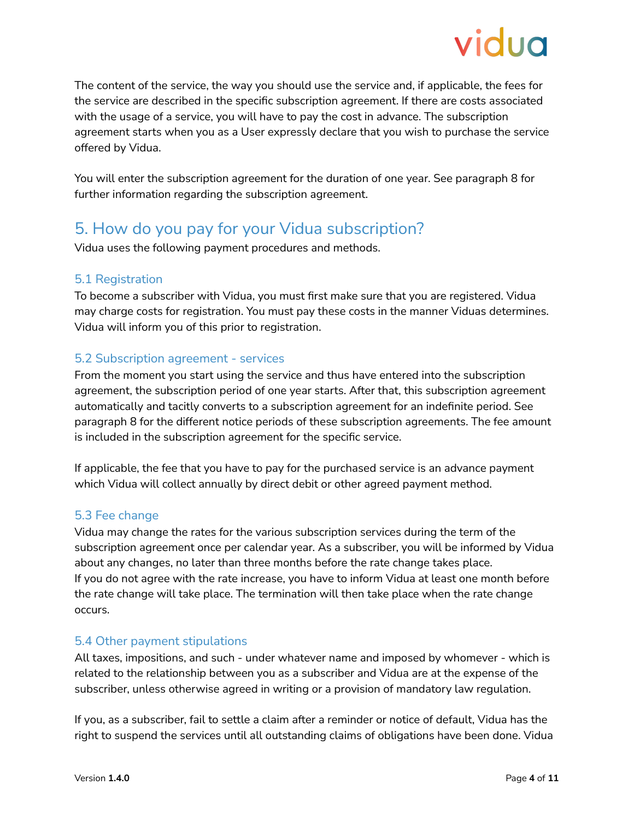The content of the service, the way you should use the service and, if applicable, the fees for the service are described in the specific subscription agreement. If there are costs associated with the usage of a service, you will have to pay the cost in advance. The subscription agreement starts when you as a User expressly declare that you wish to purchase the service offered by Vidua.

You will enter the subscription agreement for the duration of one year. See paragraph 8 for further information regarding the subscription agreement.

## <span id="page-3-0"></span>5. How do you pay for your Vidua subscription?

Vidua uses the following payment procedures and methods.

### <span id="page-3-1"></span>5.1 Registration

To become a subscriber with Vidua, you must first make sure that you are registered. Vidua may charge costs for registration. You must pay these costs in the manner Viduas determines. Vidua will inform you of this prior to registration.

### <span id="page-3-2"></span>5.2 Subscription agreement - services

From the moment you start using the service and thus have entered into the subscription agreement, the subscription period of one year starts. After that, this subscription agreement automatically and tacitly converts to a subscription agreement for an indefinite period. See paragraph 8 for the different notice periods of these subscription agreements. The fee amount is included in the subscription agreement for the specific service.

If applicable, the fee that you have to pay for the purchased service is an advance payment which Vidua will collect annually by direct debit or other agreed payment method.

#### <span id="page-3-3"></span>5.3 Fee change

Vidua may change the rates for the various subscription services during the term of the subscription agreement once per calendar year. As a subscriber, you will be informed by Vidua about any changes, no later than three months before the rate change takes place. If you do not agree with the rate increase, you have to inform Vidua at least one month before the rate change will take place. The termination will then take place when the rate change occurs.

#### <span id="page-3-4"></span>5.4 Other payment stipulations

All taxes, impositions, and such - under whatever name and imposed by whomever - which is related to the relationship between you as a subscriber and Vidua are at the expense of the subscriber, unless otherwise agreed in writing or a provision of mandatory law regulation.

If you, as a subscriber, fail to settle a claim after a reminder or notice of default, Vidua has the right to suspend the services until all outstanding claims of obligations have been done. Vidua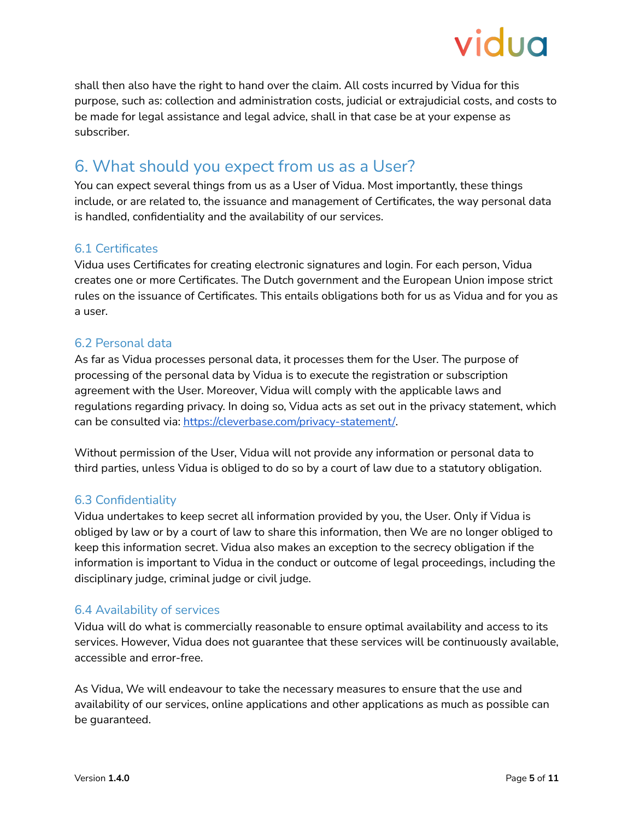

shall then also have the right to hand over the claim. All costs incurred by Vidua for this purpose, such as: collection and administration costs, judicial or extrajudicial costs, and costs to be made for legal assistance and legal advice, shall in that case be at your expense as subscriber.

## <span id="page-4-0"></span>6. What should you expect from us as a User?

You can expect several things from us as a User of Vidua. Most importantly, these things include, or are related to, the issuance and management of Certificates, the way personal data is handled, confidentiality and the availability of our services.

#### <span id="page-4-1"></span>6.1 Certificates

Vidua uses Certificates for creating electronic signatures and login. For each person, Vidua creates one or more Certificates. The Dutch government and the European Union impose strict rules on the issuance of Certificates. This entails obligations both for us as Vidua and for you as a user.

#### <span id="page-4-2"></span>6.2 Personal data

As far as Vidua processes personal data, it processes them for the User. The purpose of processing of the personal data by Vidua is to execute the registration or subscription agreement with the User. Moreover, Vidua will comply with the applicable laws and regulations regarding privacy. In doing so, Vidua acts as set out in the privacy statement, which can be consulted via: <https://cleverbase.com/privacy-statement/>.

Without permission of the User, Vidua will not provide any information or personal data to third parties, unless Vidua is obliged to do so by a court of law due to a statutory obligation.

## <span id="page-4-3"></span>6.3 Confidentiality

Vidua undertakes to keep secret all information provided by you, the User. Only if Vidua is obliged by law or by a court of law to share this information, then We are no longer obliged to keep this information secret. Vidua also makes an exception to the secrecy obligation if the information is important to Vidua in the conduct or outcome of legal proceedings, including the disciplinary judge, criminal judge or civil judge.

#### <span id="page-4-4"></span>6.4 Availability of services

Vidua will do what is commercially reasonable to ensure optimal availability and access to its services. However, Vidua does not guarantee that these services will be continuously available, accessible and error-free.

As Vidua, We will endeavour to take the necessary measures to ensure that the use and availability of our services, online applications and other applications as much as possible can be guaranteed.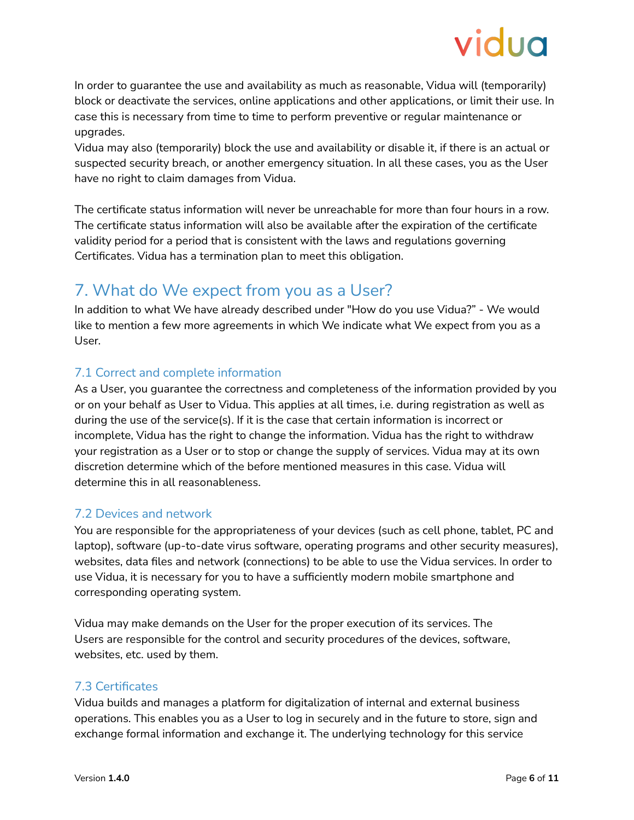In order to guarantee the use and availability as much as reasonable, Vidua will (temporarily) block or deactivate the services, online applications and other applications, or limit their use. In case this is necessary from time to time to perform preventive or regular maintenance or upgrades.

Vidua may also (temporarily) block the use and availability or disable it, if there is an actual or suspected security breach, or another emergency situation. In all these cases, you as the User have no right to claim damages from Vidua.

The certificate status information will never be unreachable for more than four hours in a row. The certificate status information will also be available after the expiration of the certificate validity period for a period that is consistent with the laws and regulations governing Certificates. Vidua has a termination plan to meet this obligation.

## <span id="page-5-0"></span>7. What do We expect from you as a User?

In addition to what We have already described under "How do you use Vidua?" - We would like to mention a few more agreements in which We indicate what We expect from you as a User.

## <span id="page-5-1"></span>7.1 Correct and complete information

As a User, you guarantee the correctness and completeness of the information provided by you or on your behalf as User to Vidua. This applies at all times, i.e. during registration as well as during the use of the service(s). If it is the case that certain information is incorrect or incomplete, Vidua has the right to change the information. Vidua has the right to withdraw your registration as a User or to stop or change the supply of services. Vidua may at its own discretion determine which of the before mentioned measures in this case. Vidua will determine this in all reasonableness.

## <span id="page-5-2"></span>7.2 Devices and network

You are responsible for the appropriateness of your devices (such as cell phone, tablet, PC and laptop), software (up-to-date virus software, operating programs and other security measures), websites, data files and network (connections) to be able to use the Vidua services. In order to use Vidua, it is necessary for you to have a sufficiently modern mobile smartphone and corresponding operating system.

Vidua may make demands on the User for the proper execution of its services. The Users are responsible for the control and security procedures of the devices, software, websites, etc. used by them.

#### <span id="page-5-3"></span>7.3 Certificates

Vidua builds and manages a platform for digitalization of internal and external business operations. This enables you as a User to log in securely and in the future to store, sign and exchange formal information and exchange it. The underlying technology for this service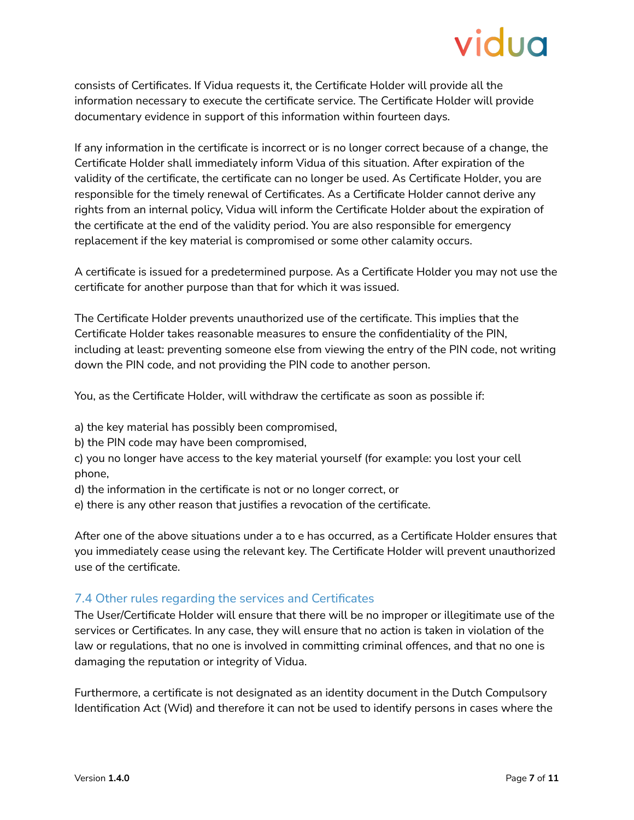consists of Certificates. If Vidua requests it, the Certificate Holder will provide all the information necessary to execute the certificate service. The Certificate Holder will provide documentary evidence in support of this information within fourteen days.

If any information in the certificate is incorrect or is no longer correct because of a change, the Certificate Holder shall immediately inform Vidua of this situation. After expiration of the validity of the certificate, the certificate can no longer be used. As Certificate Holder, you are responsible for the timely renewal of Certificates. As a Certificate Holder cannot derive any rights from an internal policy, Vidua will inform the Certificate Holder about the expiration of the certificate at the end of the validity period. You are also responsible for emergency replacement if the key material is compromised or some other calamity occurs.

A certificate is issued for a predetermined purpose. As a Certificate Holder you may not use the certificate for another purpose than that for which it was issued.

The Certificate Holder prevents unauthorized use of the certificate. This implies that the Certificate Holder takes reasonable measures to ensure the confidentiality of the PIN, including at least: preventing someone else from viewing the entry of the PIN code, not writing down the PIN code, and not providing the PIN code to another person.

You, as the Certificate Holder, will withdraw the certificate as soon as possible if:

- a) the key material has possibly been compromised,
- b) the PIN code may have been compromised,
- c) you no longer have access to the key material yourself (for example: you lost your cell phone,
- d) the information in the certificate is not or no longer correct, or
- e) there is any other reason that justifies a revocation of the certificate.

After one of the above situations under a to e has occurred, as a Certificate Holder ensures that you immediately cease using the relevant key. The Certificate Holder will prevent unauthorized use of the certificate.

## <span id="page-6-0"></span>7.4 Other rules regarding the services and Certificates

The User/Certificate Holder will ensure that there will be no improper or illegitimate use of the services or Certificates. In any case, they will ensure that no action is taken in violation of the law or regulations, that no one is involved in committing criminal offences, and that no one is damaging the reputation or integrity of Vidua.

Furthermore, a certificate is not designated as an identity document in the Dutch Compulsory Identification Act (Wid) and therefore it can not be used to identify persons in cases where the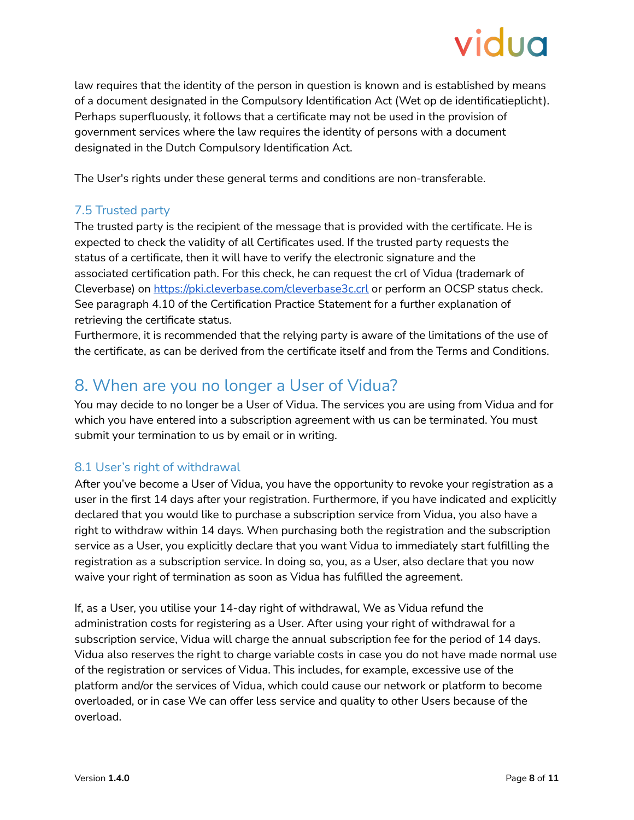

law requires that the identity of the person in question is known and is established by means of a document designated in the Compulsory Identification Act (Wet op de identificatieplicht). Perhaps superfluously, it follows that a certificate may not be used in the provision of government services where the law requires the identity of persons with a document designated in the Dutch Compulsory Identification Act.

The User's rights under these general terms and conditions are non-transferable.

### <span id="page-7-0"></span>7.5 Trusted party

The trusted party is the recipient of the message that is provided with the certificate. He is expected to check the validity of all Certificates used. If the trusted party requests the status of a certificate, then it will have to verify the electronic signature and the associated certification path. For this check, he can request the crl of Vidua (trademark of Cleverbase) on <https://pki.cleverbase.com/cleverbase3c.crl> or perform an OCSP status check. See paragraph 4.10 of the Certification Practice Statement for a further explanation of retrieving the certificate status.

Furthermore, it is recommended that the relying party is aware of the limitations of the use of the certificate, as can be derived from the certificate itself and from the Terms and Conditions.

## <span id="page-7-1"></span>8. When are you no longer a User of Vidua?

You may decide to no longer be a User of Vidua. The services you are using from Vidua and for which you have entered into a subscription agreement with us can be terminated. You must submit your termination to us by email or in writing.

#### <span id="page-7-2"></span>8.1 User's right of withdrawal

After you've become a User of Vidua, you have the opportunity to revoke your registration as a user in the first 14 days after your registration. Furthermore, if you have indicated and explicitly declared that you would like to purchase a subscription service from Vidua, you also have a right to withdraw within 14 days. When purchasing both the registration and the subscription service as a User, you explicitly declare that you want Vidua to immediately start fulfilling the registration as a subscription service. In doing so, you, as a User, also declare that you now waive your right of termination as soon as Vidua has fulfilled the agreement.

If, as a User, you utilise your 14-day right of withdrawal, We as Vidua refund the administration costs for registering as a User. After using your right of withdrawal for a subscription service, Vidua will charge the annual subscription fee for the period of 14 days. Vidua also reserves the right to charge variable costs in case you do not have made normal use of the registration or services of Vidua. This includes, for example, excessive use of the platform and/or the services of Vidua, which could cause our network or platform to become overloaded, or in case We can offer less service and quality to other Users because of the overload.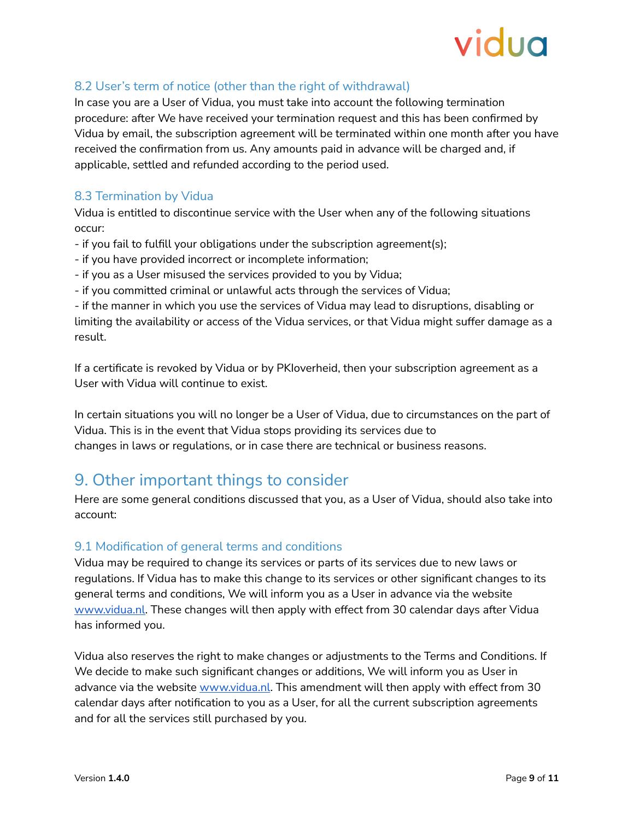## <span id="page-8-0"></span>8.2 User's term of notice (other than the right of withdrawal)

In case you are a User of Vidua, you must take into account the following termination procedure: after We have received your termination request and this has been confirmed by Vidua by email, the subscription agreement will be terminated within one month after you have received the confirmation from us. Any amounts paid in advance will be charged and, if applicable, settled and refunded according to the period used.

### <span id="page-8-1"></span>8.3 Termination by Vidua

Vidua is entitled to discontinue service with the User when any of the following situations occur:

- if you fail to fulfill your obligations under the subscription agreement(s);
- if you have provided incorrect or incomplete information;
- if you as a User misused the services provided to you by Vidua;
- if you committed criminal or unlawful acts through the services of Vidua;

- if the manner in which you use the services of Vidua may lead to disruptions, disabling or limiting the availability or access of the Vidua services, or that Vidua might suffer damage as a result.

If a certificate is revoked by Vidua or by PKIoverheid, then your subscription agreement as a User with Vidua will continue to exist.

In certain situations you will no longer be a User of Vidua, due to circumstances on the part of Vidua. This is in the event that Vidua stops providing its services due to changes in laws or regulations, or in case there are technical or business reasons.

## <span id="page-8-2"></span>9. Other important things to consider

Here are some general conditions discussed that you, as a User of Vidua, should also take into account:

#### <span id="page-8-3"></span>9.1 Modification of general terms and conditions

Vidua may be required to change its services or parts of its services due to new laws or regulations. If Vidua has to make this change to its services or other significant changes to its general terms and conditions, We will inform you as a User in advance via the website [www.vidua.nl](http://www.vidua.nl/). These changes will then apply with effect from 30 calendar days after Vidua has informed you.

Vidua also reserves the right to make changes or adjustments to the Terms and Conditions. If We decide to make such significant changes or additions, We will inform you as User in advance via the website [www.vidua.nl](http://www.vidua.nl/). This amendment will then apply with effect from 30 calendar days after notification to you as a User, for all the current subscription agreements and for all the services still purchased by you.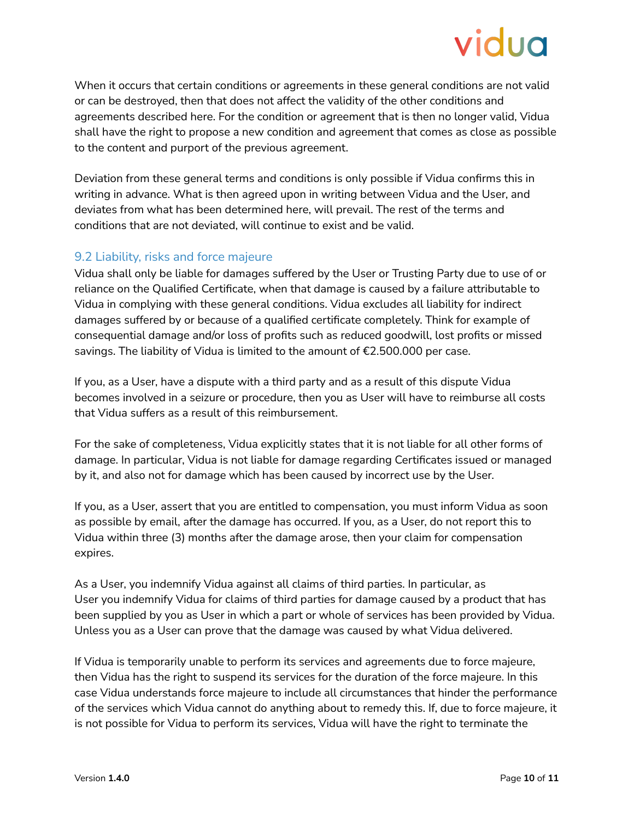When it occurs that certain conditions or agreements in these general conditions are not valid or can be destroyed, then that does not affect the validity of the other conditions and agreements described here. For the condition or agreement that is then no longer valid, Vidua shall have the right to propose a new condition and agreement that comes as close as possible to the content and purport of the previous agreement.

Deviation from these general terms and conditions is only possible if Vidua confirms this in writing in advance. What is then agreed upon in writing between Vidua and the User, and deviates from what has been determined here, will prevail. The rest of the terms and conditions that are not deviated, will continue to exist and be valid.

## <span id="page-9-0"></span>9.2 Liability, risks and force majeure

Vidua shall only be liable for damages suffered by the User or Trusting Party due to use of or reliance on the Qualified Certificate, when that damage is caused by a failure attributable to Vidua in complying with these general conditions. Vidua excludes all liability for indirect damages suffered by or because of a qualified certificate completely. Think for example of consequential damage and/or loss of profits such as reduced goodwill, lost profits or missed savings. The liability of Vidua is limited to the amount of €2.500.000 per case.

If you, as a User, have a dispute with a third party and as a result of this dispute Vidua becomes involved in a seizure or procedure, then you as User will have to reimburse all costs that Vidua suffers as a result of this reimbursement.

For the sake of completeness, Vidua explicitly states that it is not liable for all other forms of damage. In particular, Vidua is not liable for damage regarding Certificates issued or managed by it, and also not for damage which has been caused by incorrect use by the User.

If you, as a User, assert that you are entitled to compensation, you must inform Vidua as soon as possible by email, after the damage has occurred. If you, as a User, do not report this to Vidua within three (3) months after the damage arose, then your claim for compensation expires.

As a User, you indemnify Vidua against all claims of third parties. In particular, as User you indemnify Vidua for claims of third parties for damage caused by a product that has been supplied by you as User in which a part or whole of services has been provided by Vidua. Unless you as a User can prove that the damage was caused by what Vidua delivered.

If Vidua is temporarily unable to perform its services and agreements due to force majeure, then Vidua has the right to suspend its services for the duration of the force majeure. In this case Vidua understands force majeure to include all circumstances that hinder the performance of the services which Vidua cannot do anything about to remedy this. If, due to force majeure, it is not possible for Vidua to perform its services, Vidua will have the right to terminate the